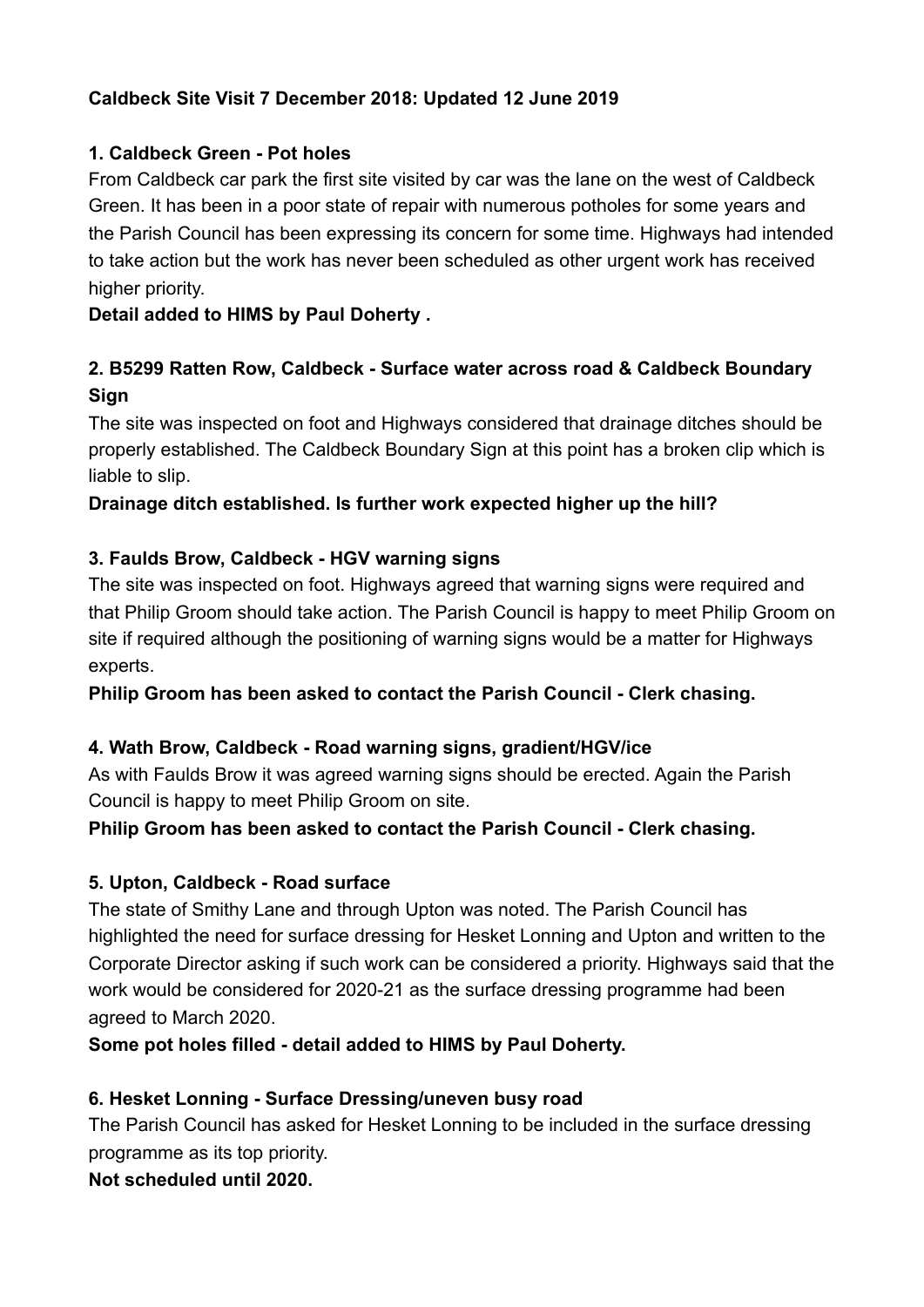## **Caldbeck Site Visit 7 December 2018: Updated 12 June 2019**

## **1. Caldbeck Green - Pot holes**

From Caldbeck car park the first site visited by car was the lane on the west of Caldbeck Green. It has been in a poor state of repair with numerous potholes for some years and the Parish Council has been expressing its concern for some time. Highways had intended to take action but the work has never been scheduled as other urgent work has received higher priority.

## **Detail added to HIMS by Paul Doherty .**

# **2. B5299 Ratten Row, Caldbeck - Surface water across road & Caldbeck Boundary Sign**

The site was inspected on foot and Highways considered that drainage ditches should be properly established. The Caldbeck Boundary Sign at this point has a broken clip which is liable to slip.

## **Drainage ditch established. Is further work expected higher up the hill?**

## **3. Faulds Brow, Caldbeck - HGV warning signs**

The site was inspected on foot. Highways agreed that warning signs were required and that Philip Groom should take action. The Parish Council is happy to meet Philip Groom on site if required although the positioning of warning signs would be a matter for Highways experts.

**Philip Groom has been asked to contact the Parish Council - Clerk chasing.** 

### **4. Wath Brow, Caldbeck - Road warning signs, gradient/HGV/ice**

As with Faulds Brow it was agreed warning signs should be erected. Again the Parish Council is happy to meet Philip Groom on site.

### **Philip Groom has been asked to contact the Parish Council - Clerk chasing.**

### **5. Upton, Caldbeck - Road surface**

The state of Smithy Lane and through Upton was noted. The Parish Council has highlighted the need for surface dressing for Hesket Lonning and Upton and written to the Corporate Director asking if such work can be considered a priority. Highways said that the work would be considered for 2020-21 as the surface dressing programme had been agreed to March 2020.

**Some pot holes filled - detail added to HIMS by Paul Doherty.** 

### **6. Hesket Lonning - Surface Dressing/uneven busy road**

The Parish Council has asked for Hesket Lonning to be included in the surface dressing programme as its top priority.

## **Not scheduled until 2020.**